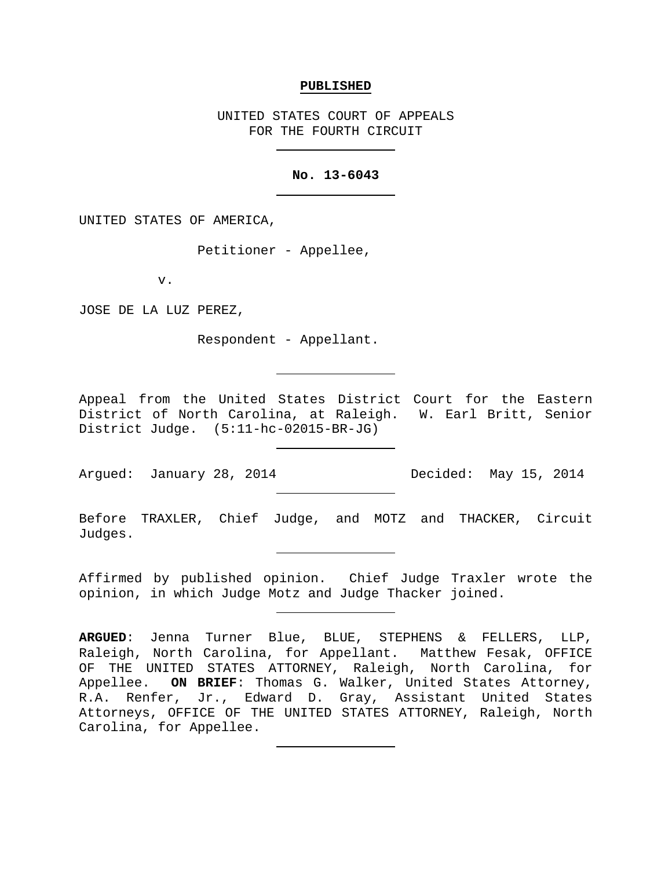#### **PUBLISHED**

UNITED STATES COURT OF APPEALS FOR THE FOURTH CIRCUIT

## **No. 13-6043**

UNITED STATES OF AMERICA,

Petitioner - Appellee,

v.

JOSE DE LA LUZ PEREZ,

Respondent - Appellant.

Appeal from the United States District Court for the Eastern District of North Carolina, at Raleigh. W. Earl Britt, Senior District Judge. (5:11-hc-02015-BR-JG)

Argued: January 28, 2014 Decided: May 15, 2014

Before TRAXLER, Chief Judge, and MOTZ and THACKER, Circuit Judges.

Affirmed by published opinion. Chief Judge Traxler wrote the opinion, in which Judge Motz and Judge Thacker joined.

**ARGUED**: Jenna Turner Blue, BLUE, STEPHENS & FELLERS, LLP, Raleigh, North Carolina, for Appellant. Matthew Fesak, OFFICE OF THE UNITED STATES ATTORNEY, Raleigh, North Carolina, for<br>Appellee. ON BRIEF: Thomas G. Walker, United States Attorney, ON BRIEF: Thomas G. Walker, United States Attorney, R.A. Renfer, Jr., Edward D. Gray, Assistant United States Attorneys, OFFICE OF THE UNITED STATES ATTORNEY, Raleigh, North Carolina, for Appellee.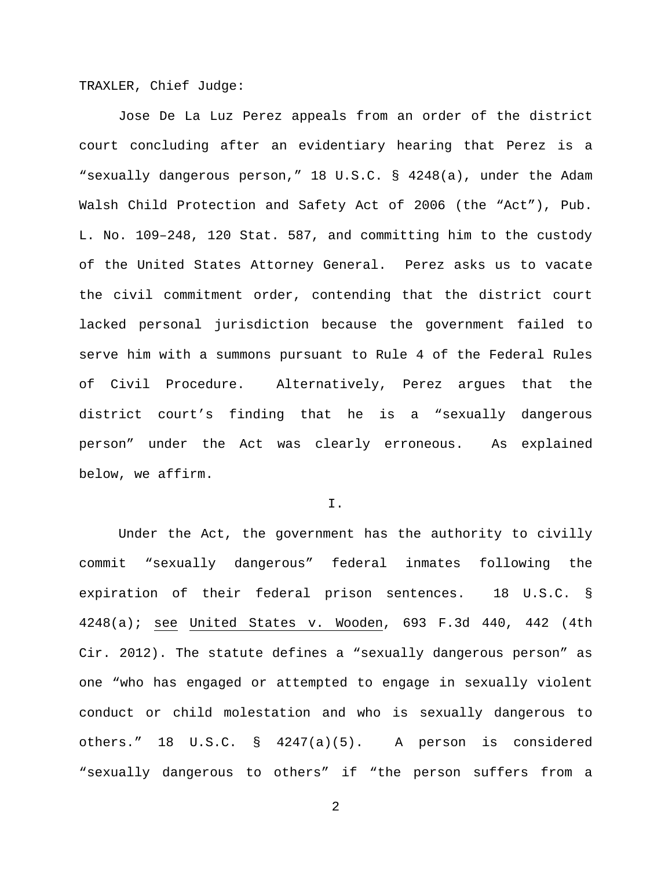TRAXLER, Chief Judge:

Jose De La Luz Perez appeals from an order of the district court concluding after an evidentiary hearing that Perez is a "sexually dangerous person," 18 U.S.C. § 4248(a), under the Adam Walsh Child Protection and Safety Act of 2006 (the "Act"), Pub. L. No. 109–248, 120 Stat. 587, and committing him to the custody of the United States Attorney General. Perez asks us to vacate the civil commitment order, contending that the district court lacked personal jurisdiction because the government failed to serve him with a summons pursuant to Rule 4 of the Federal Rules of Civil Procedure. Alternatively, Perez argues that the district court's finding that he is a "sexually dangerous person" under the Act was clearly erroneous. As explained below, we affirm.

I.

Under the Act, the government has the authority to civilly commit "sexually dangerous" federal inmates following the expiration of their federal prison sentences. 18 U.S.C. § 4248(a); see United States v. Wooden, 693 F.3d 440, 442 (4th Cir. 2012). The statute defines a "sexually dangerous person" as one "who has engaged or attempted to engage in sexually violent conduct or child molestation and who is sexually dangerous to others." 18 U.S.C. § 4247(a)(5). A person is considered "sexually dangerous to others" if "the person suffers from a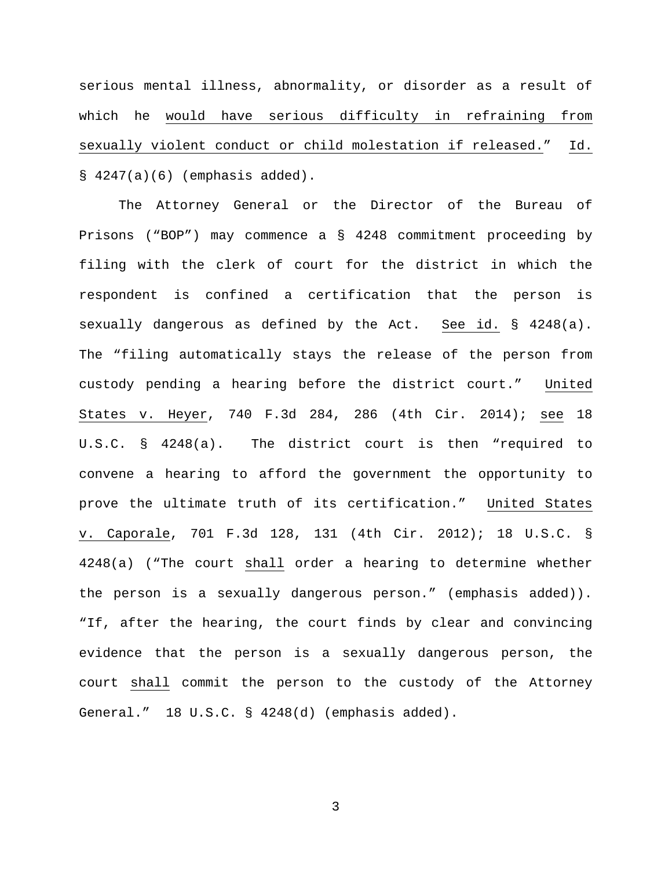serious mental illness, abnormality, or disorder as a result of which he would have serious difficulty in refraining from sexually violent conduct or child molestation if released." Id.  $§ 4247(a)(6)$  (emphasis added).

The Attorney General or the Director of the Bureau of Prisons ("BOP") may commence a § 4248 commitment proceeding by filing with the clerk of court for the district in which the respondent is confined a certification that the person is sexually dangerous as defined by the Act. See id. § 4248(a). The "filing automatically stays the release of the person from custody pending a hearing before the district court." United States v. Heyer, 740 F.3d 284, 286 (4th Cir. 2014); see 18 U.S.C. § 4248(a). The district court is then "required to convene a hearing to afford the government the opportunity to prove the ultimate truth of its certification." United States v. Caporale, 701 F.3d 128, 131 (4th Cir. 2012); 18 U.S.C. § 4248(a) ("The court shall order a hearing to determine whether the person is a sexually dangerous person." (emphasis added)). "If, after the hearing, the court finds by clear and convincing evidence that the person is a sexually dangerous person, the court shall commit the person to the custody of the Attorney General." 18 U.S.C. § 4248(d) (emphasis added).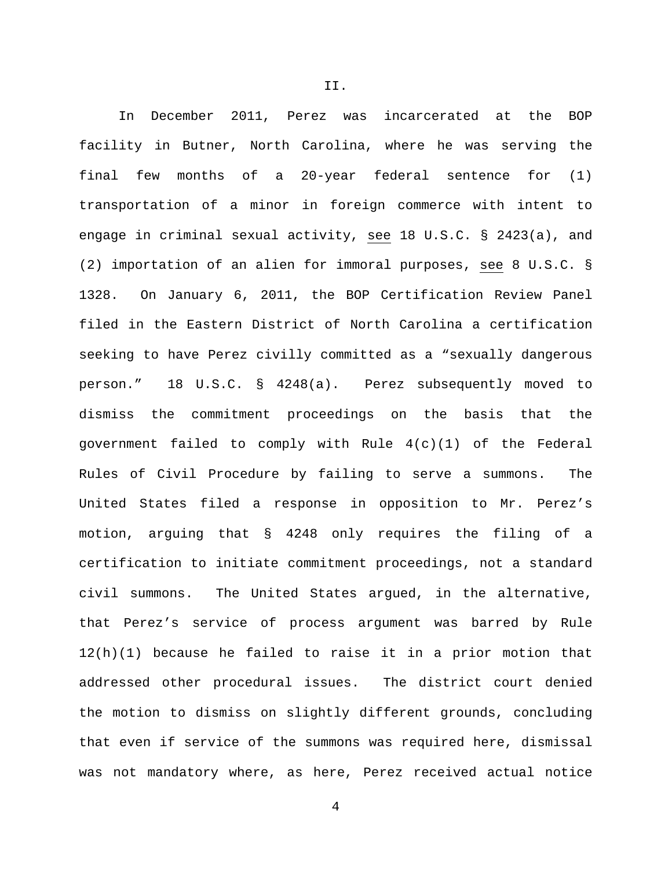In December 2011, Perez was incarcerated at the BOP facility in Butner, North Carolina, where he was serving the final few months of a 20-year federal sentence for (1) transportation of a minor in foreign commerce with intent to engage in criminal sexual activity, see 18 U.S.C. § 2423(a), and (2) importation of an alien for immoral purposes, see 8 U.S.C. § 1328. On January 6, 2011, the BOP Certification Review Panel filed in the Eastern District of North Carolina a certification seeking to have Perez civilly committed as a "sexually dangerous person." 18 U.S.C. § 4248(a). Perez subsequently moved to dismiss the commitment proceedings on the basis that the government failed to comply with Rule 4(c)(1) of the Federal Rules of Civil Procedure by failing to serve a summons. The United States filed a response in opposition to Mr. Perez's motion, arguing that § 4248 only requires the filing of a certification to initiate commitment proceedings, not a standard civil summons. The United States argued, in the alternative, that Perez's service of process argument was barred by Rule 12(h)(1) because he failed to raise it in a prior motion that addressed other procedural issues. The district court denied the motion to dismiss on slightly different grounds, concluding that even if service of the summons was required here, dismissal was not mandatory where, as here, Perez received actual notice

II.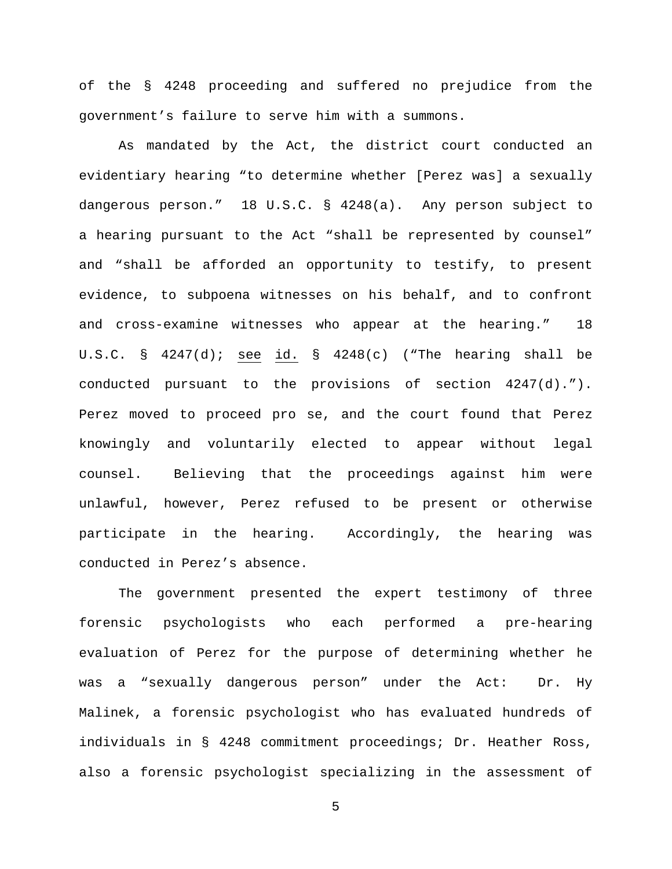of the § 4248 proceeding and suffered no prejudice from the government's failure to serve him with a summons.

As mandated by the Act, the district court conducted an evidentiary hearing "to determine whether [Perez was] a sexually dangerous person." 18 U.S.C. § 4248(a). Any person subject to a hearing pursuant to the Act "shall be represented by counsel" and "shall be afforded an opportunity to testify, to present evidence, to subpoena witnesses on his behalf, and to confront and cross-examine witnesses who appear at the hearing." 18 U.S.C. §  $4247(d)$ ; see id. §  $4248(c)$  ("The hearing shall be conducted pursuant to the provisions of section 4247(d)."). Perez moved to proceed pro se, and the court found that Perez knowingly and voluntarily elected to appear without legal counsel. Believing that the proceedings against him were unlawful, however, Perez refused to be present or otherwise participate in the hearing. Accordingly, the hearing was conducted in Perez's absence.

The government presented the expert testimony of three forensic psychologists who each performed a pre-hearing evaluation of Perez for the purpose of determining whether he was a "sexually dangerous person" under the Act: Dr. Hy Malinek, a forensic psychologist who has evaluated hundreds of individuals in § 4248 commitment proceedings; Dr. Heather Ross, also a forensic psychologist specializing in the assessment of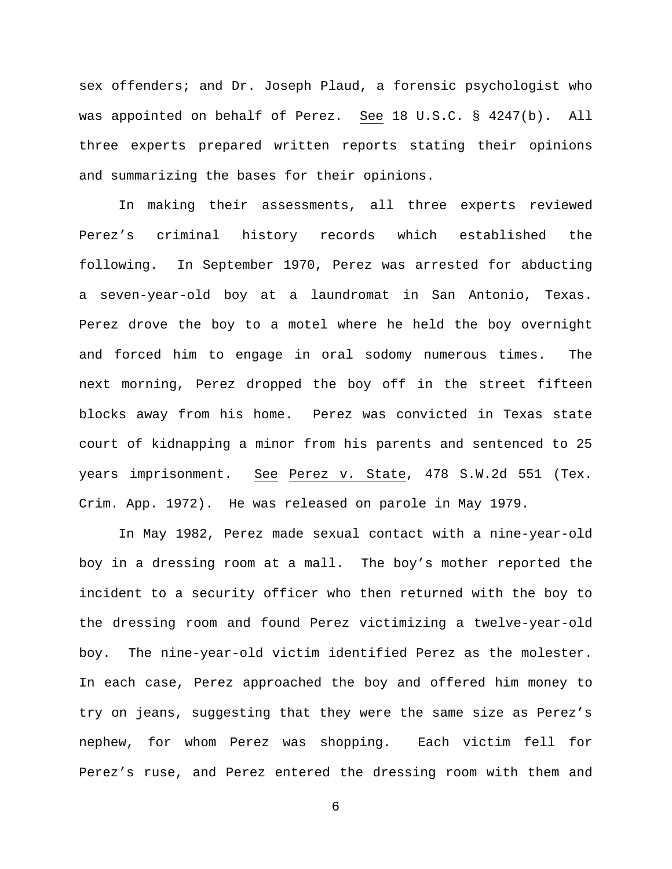sex offenders; and Dr. Joseph Plaud, a forensic psychologist who was appointed on behalf of Perez. See 18 U.S.C. § 4247(b). All three experts prepared written reports stating their opinions and summarizing the bases for their opinions.

In making their assessments, all three experts reviewed Perez's criminal history records which established the following. In September 1970, Perez was arrested for abducting a seven-year-old boy at a laundromat in San Antonio, Texas. Perez drove the boy to a motel where he held the boy overnight and forced him to engage in oral sodomy numerous times. The next morning, Perez dropped the boy off in the street fifteen blocks away from his home. Perez was convicted in Texas state court of kidnapping a minor from his parents and sentenced to 25 years imprisonment. See Perez v. State, 478 S.W.2d 551 (Tex. Crim. App. 1972). He was released on parole in May 1979.

In May 1982, Perez made sexual contact with a nine-year-old boy in a dressing room at a mall. The boy's mother reported the incident to a security officer who then returned with the boy to the dressing room and found Perez victimizing a twelve-year-old boy. The nine-year-old victim identified Perez as the molester. In each case, Perez approached the boy and offered him money to try on jeans, suggesting that they were the same size as Perez's nephew, for whom Perez was shopping. Each victim fell for Perez's ruse, and Perez entered the dressing room with them and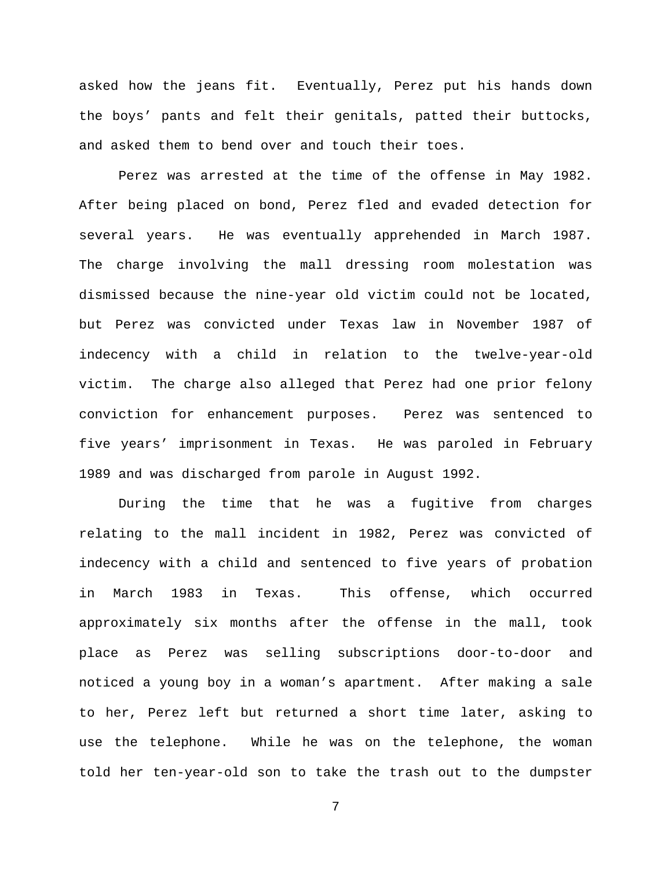asked how the jeans fit. Eventually, Perez put his hands down the boys' pants and felt their genitals, patted their buttocks, and asked them to bend over and touch their toes.

Perez was arrested at the time of the offense in May 1982. After being placed on bond, Perez fled and evaded detection for several years. He was eventually apprehended in March 1987. The charge involving the mall dressing room molestation was dismissed because the nine-year old victim could not be located, but Perez was convicted under Texas law in November 1987 of indecency with a child in relation to the twelve-year-old victim. The charge also alleged that Perez had one prior felony conviction for enhancement purposes. Perez was sentenced to five years' imprisonment in Texas. He was paroled in February 1989 and was discharged from parole in August 1992.

During the time that he was a fugitive from charges relating to the mall incident in 1982, Perez was convicted of indecency with a child and sentenced to five years of probation in March 1983 in Texas. This offense, which occurred approximately six months after the offense in the mall, took place as Perez was selling subscriptions door-to-door and noticed a young boy in a woman's apartment. After making a sale to her, Perez left but returned a short time later, asking to use the telephone. While he was on the telephone, the woman told her ten-year-old son to take the trash out to the dumpster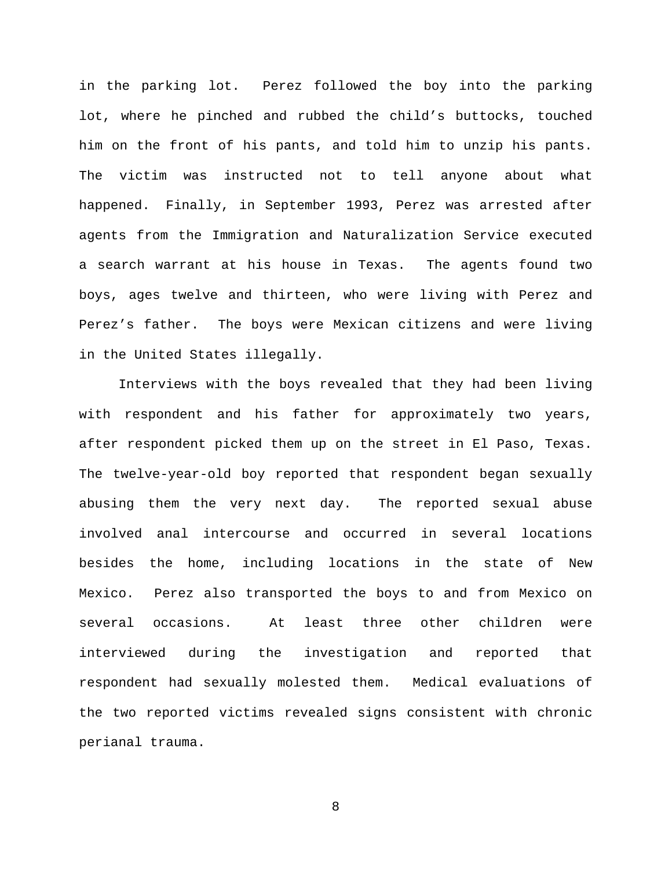in the parking lot. Perez followed the boy into the parking lot, where he pinched and rubbed the child's buttocks, touched him on the front of his pants, and told him to unzip his pants. The victim was instructed not to tell anyone about what happened. Finally, in September 1993, Perez was arrested after agents from the Immigration and Naturalization Service executed a search warrant at his house in Texas. The agents found two boys, ages twelve and thirteen, who were living with Perez and Perez's father. The boys were Mexican citizens and were living in the United States illegally.

Interviews with the boys revealed that they had been living with respondent and his father for approximately two years, after respondent picked them up on the street in El Paso, Texas. The twelve-year-old boy reported that respondent began sexually abusing them the very next day. The reported sexual abuse involved anal intercourse and occurred in several locations besides the home, including locations in the state of New Mexico. Perez also transported the boys to and from Mexico on several occasions. At least three other children were interviewed during the investigation and reported that respondent had sexually molested them. Medical evaluations of the two reported victims revealed signs consistent with chronic perianal trauma.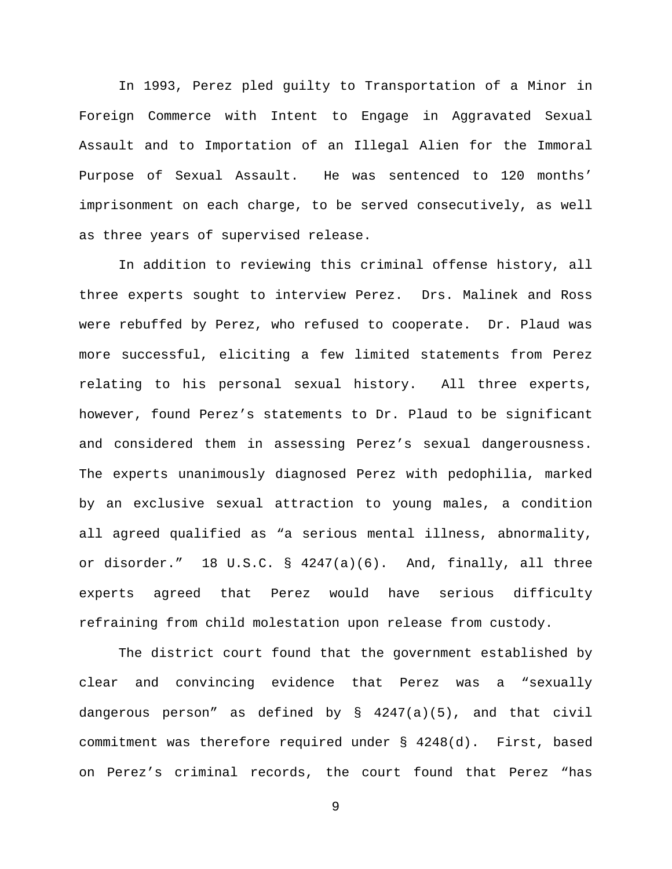In 1993, Perez pled guilty to Transportation of a Minor in Foreign Commerce with Intent to Engage in Aggravated Sexual Assault and to Importation of an Illegal Alien for the Immoral Purpose of Sexual Assault. He was sentenced to 120 months' imprisonment on each charge, to be served consecutively, as well as three years of supervised release.

In addition to reviewing this criminal offense history, all three experts sought to interview Perez. Drs. Malinek and Ross were rebuffed by Perez, who refused to cooperate. Dr. Plaud was more successful, eliciting a few limited statements from Perez relating to his personal sexual history. All three experts, however, found Perez's statements to Dr. Plaud to be significant and considered them in assessing Perez's sexual dangerousness. The experts unanimously diagnosed Perez with pedophilia, marked by an exclusive sexual attraction to young males, a condition all agreed qualified as "a serious mental illness, abnormality, or disorder." 18 U.S.C. § 4247(a)(6). And, finally, all three experts agreed that Perez would have serious difficulty refraining from child molestation upon release from custody.

The district court found that the government established by clear and convincing evidence that Perez was a "sexually dangerous person" as defined by § 4247(a)(5), and that civil commitment was therefore required under § 4248(d). First, based on Perez's criminal records, the court found that Perez "has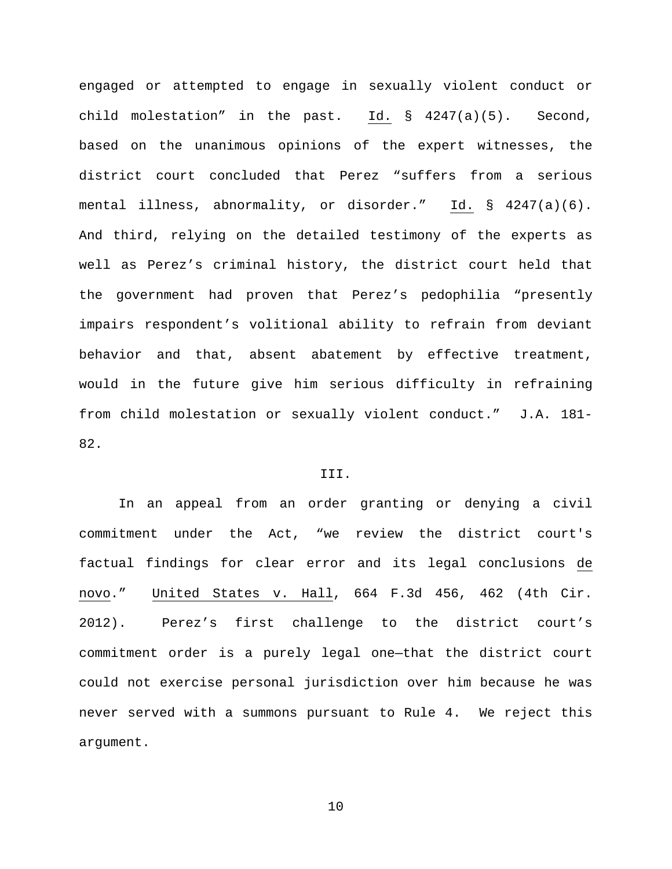engaged or attempted to engage in sexually violent conduct or child molestation" in the past. Id. § 4247(a)(5). Second, based on the unanimous opinions of the expert witnesses, the district court concluded that Perez "suffers from a serious mental illness, abnormality, or disorder." Id. § 4247(a)(6). And third, relying on the detailed testimony of the experts as well as Perez's criminal history, the district court held that the government had proven that Perez's pedophilia "presently impairs respondent's volitional ability to refrain from deviant behavior and that, absent abatement by effective treatment, would in the future give him serious difficulty in refraining from child molestation or sexually violent conduct." J.A. 181- 82.

### III.

In an appeal from an order granting or denying a civil commitment under the Act, "we review the district court's factual findings for clear error and its legal conclusions de novo." United States v. Hall, 664 F.3d 456, 462 (4th Cir. 2012). Perez's first challenge to the district court's commitment order is a purely legal one—that the district court could not exercise personal jurisdiction over him because he was never served with a summons pursuant to Rule 4. We reject this argument.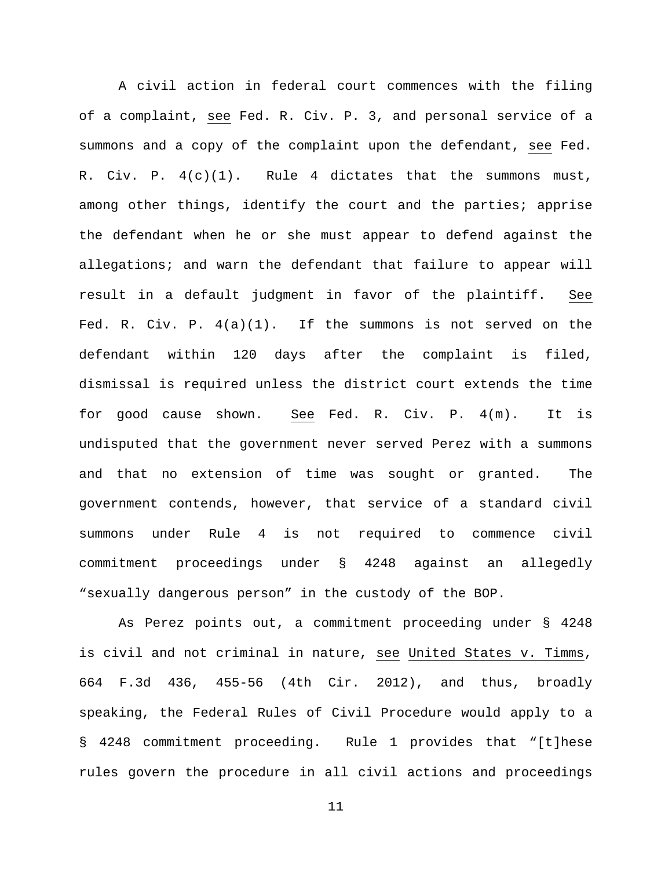A civil action in federal court commences with the filing of a complaint, see Fed. R. Civ. P. 3, and personal service of a summons and a copy of the complaint upon the defendant, see Fed. R. Civ. P. 4(c)(1). Rule 4 dictates that the summons must, among other things, identify the court and the parties; apprise the defendant when he or she must appear to defend against the allegations; and warn the defendant that failure to appear will result in a default judgment in favor of the plaintiff. See Fed. R. Civ. P.  $4(a)(1)$ . If the summons is not served on the defendant within 120 days after the complaint is filed, dismissal is required unless the district court extends the time for good cause shown. See Fed. R. Civ. P. 4(m). It is undisputed that the government never served Perez with a summons and that no extension of time was sought or granted. The government contends, however, that service of a standard civil summons under Rule 4 is not required to commence civil commitment proceedings under § 4248 against an allegedly "sexually dangerous person" in the custody of the BOP.

As Perez points out, a commitment proceeding under § 4248 is civil and not criminal in nature, see United States v. Timms, 664 F.3d 436, 455-56 (4th Cir. 2012), and thus, broadly speaking, the Federal Rules of Civil Procedure would apply to a § 4248 commitment proceeding. Rule 1 provides that "[t]hese rules govern the procedure in all civil actions and proceedings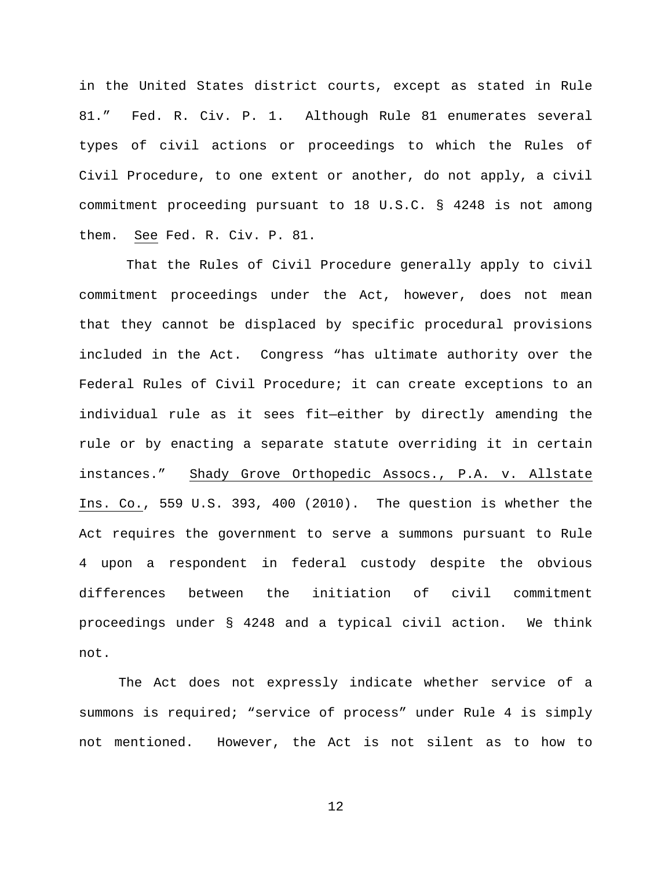in the United States district courts, except as stated in Rule 81." Fed. R. Civ. P. 1. Although Rule 81 enumerates several types of civil actions or proceedings to which the Rules of Civil Procedure, to one extent or another, do not apply, a civil commitment proceeding pursuant to 18 U.S.C. § 4248 is not among them. See Fed. R. Civ. P. 81.

That the Rules of Civil Procedure generally apply to civil commitment proceedings under the Act, however, does not mean that they cannot be displaced by specific procedural provisions included in the Act. Congress "has ultimate authority over the Federal Rules of Civil Procedure; it can create exceptions to an individual rule as it sees fit—either by directly amending the rule or by enacting a separate statute overriding it in certain instances." Shady Grove Orthopedic Assocs., P.A. v. Allstate Ins. Co., 559 U.S. 393, 400 (2010). The question is whether the Act requires the government to serve a summons pursuant to Rule 4 upon a respondent in federal custody despite the obvious differences between the initiation of civil commitment proceedings under § 4248 and a typical civil action. We think not.

The Act does not expressly indicate whether service of a summons is required; "service of process" under Rule 4 is simply not mentioned. However, the Act is not silent as to how to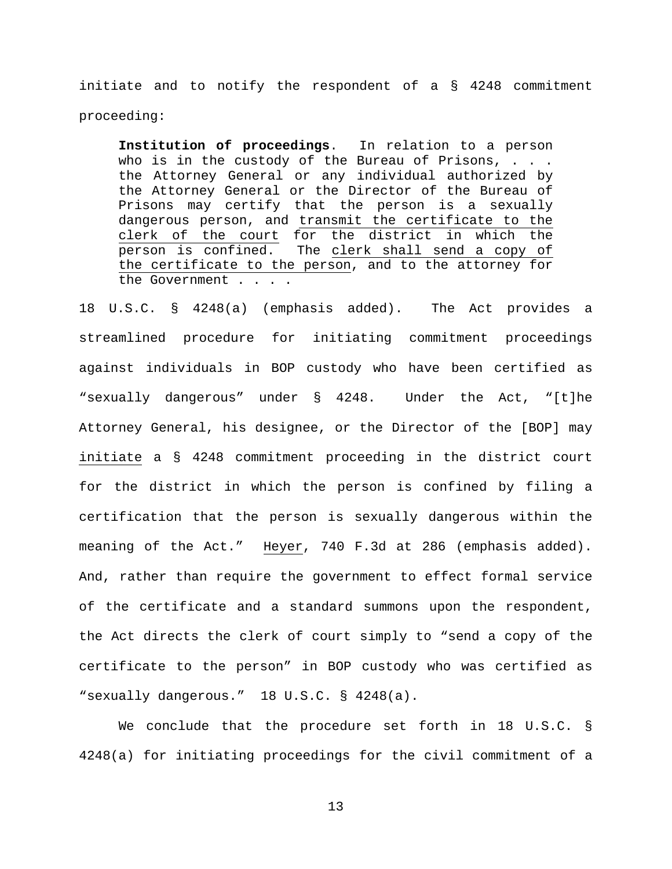initiate and to notify the respondent of a § 4248 commitment proceeding:

**Institution of proceedings**. In relation to a person who is in the custody of the Bureau of Prisons, . . . the Attorney General or any individual authorized by the Attorney General or the Director of the Bureau of Prisons may certify that the person is a sexually dangerous person, and transmit the certificate to the clerk of the court for the district in which the person is confined. The clerk shall send a copy of the certificate to the person, and to the attorney for the Government . . . .

18 U.S.C. § 4248(a) (emphasis added). The Act provides a streamlined procedure for initiating commitment proceedings against individuals in BOP custody who have been certified as "sexually dangerous" under § 4248. Under the Act, "[t]he Attorney General, his designee, or the Director of the [BOP] may initiate a § 4248 commitment proceeding in the district court for the district in which the person is confined by filing a certification that the person is sexually dangerous within the meaning of the Act." Heyer, 740 F.3d at 286 (emphasis added). And, rather than require the government to effect formal service of the certificate and a standard summons upon the respondent, the Act directs the clerk of court simply to "send a copy of the certificate to the person" in BOP custody who was certified as "sexually dangerous." 18 U.S.C. § 4248(a).

We conclude that the procedure set forth in 18 U.S.C. § 4248(a) for initiating proceedings for the civil commitment of a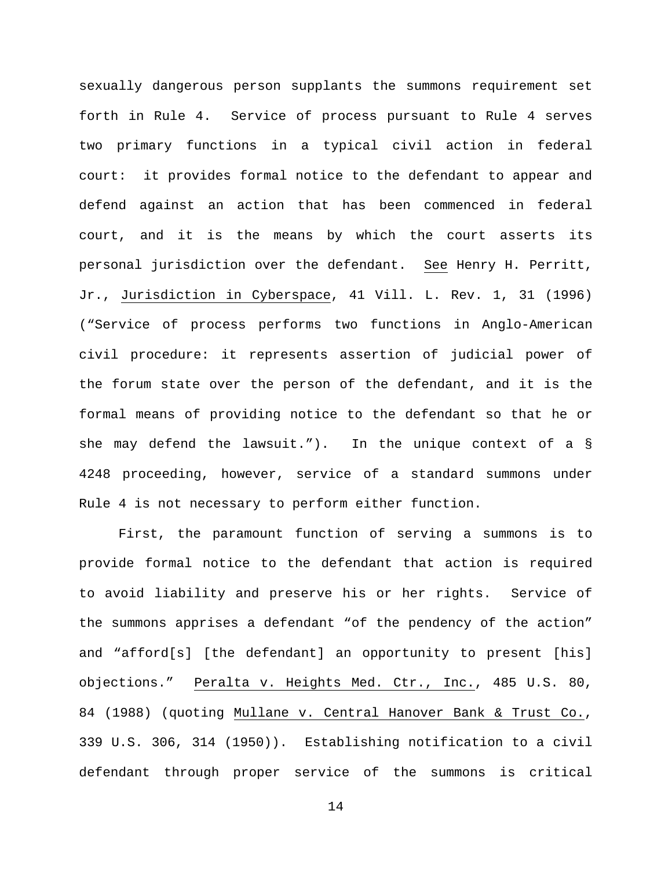sexually dangerous person supplants the summons requirement set forth in Rule 4. Service of process pursuant to Rule 4 serves two primary functions in a typical civil action in federal court: it provides formal notice to the defendant to appear and defend against an action that has been commenced in federal court, and it is the means by which the court asserts its personal jurisdiction over the defendant. See Henry H. Perritt, Jr., Jurisdiction in Cyberspace, 41 Vill. L. Rev. 1, 31 (1996) ("Service of process performs two functions in Anglo-American civil procedure: it represents assertion of judicial power of the forum state over the person of the defendant, and it is the formal means of providing notice to the defendant so that he or she may defend the lawsuit."). In the unique context of a § 4248 proceeding, however, service of a standard summons under Rule 4 is not necessary to perform either function.

First, the paramount function of serving a summons is to provide formal notice to the defendant that action is required to avoid liability and preserve his or her rights. Service of the summons apprises a defendant "of the pendency of the action" and "afford[s] [the defendant] an opportunity to present [his] objections." Peralta v. Heights Med. Ctr., Inc., 485 U.S. 80, 84 (1988) (quoting Mullane v. Central Hanover Bank & Trust Co., 339 U.S. 306, 314 (1950)). Establishing notification to a civil defendant through proper service of the summons is critical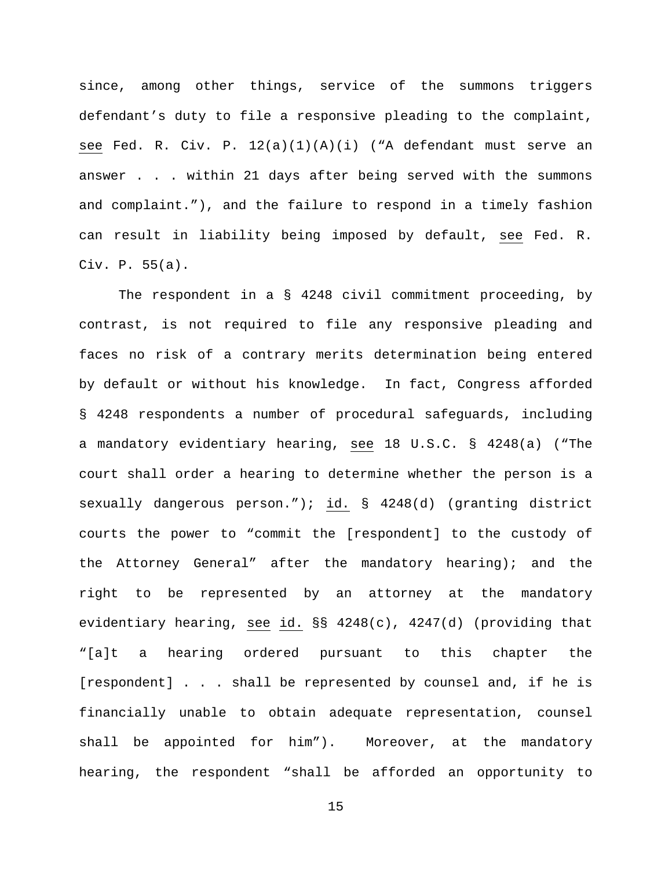since, among other things, service of the summons triggers defendant's duty to file a responsive pleading to the complaint, see Fed. R. Civ. P. 12(a)(1)(A)(i) ("A defendant must serve an answer . . . within 21 days after being served with the summons and complaint."), and the failure to respond in a timely fashion can result in liability being imposed by default, see Fed. R. Civ. P. 55(a).

The respondent in a § 4248 civil commitment proceeding, by contrast, is not required to file any responsive pleading and faces no risk of a contrary merits determination being entered by default or without his knowledge. In fact, Congress afforded § 4248 respondents a number of procedural safeguards, including a mandatory evidentiary hearing, see 18 U.S.C. § 4248(a) ("The court shall order a hearing to determine whether the person is a sexually dangerous person."); id. § 4248(d) (granting district courts the power to "commit the [respondent] to the custody of the Attorney General" after the mandatory hearing); and the right to be represented by an attorney at the mandatory evidentiary hearing, see id. §§ 4248(c), 4247(d) (providing that "[a]t a hearing ordered pursuant to this chapter the [respondent] . . . shall be represented by counsel and, if he is financially unable to obtain adequate representation, counsel shall be appointed for him"). Moreover, at the mandatory hearing, the respondent "shall be afforded an opportunity to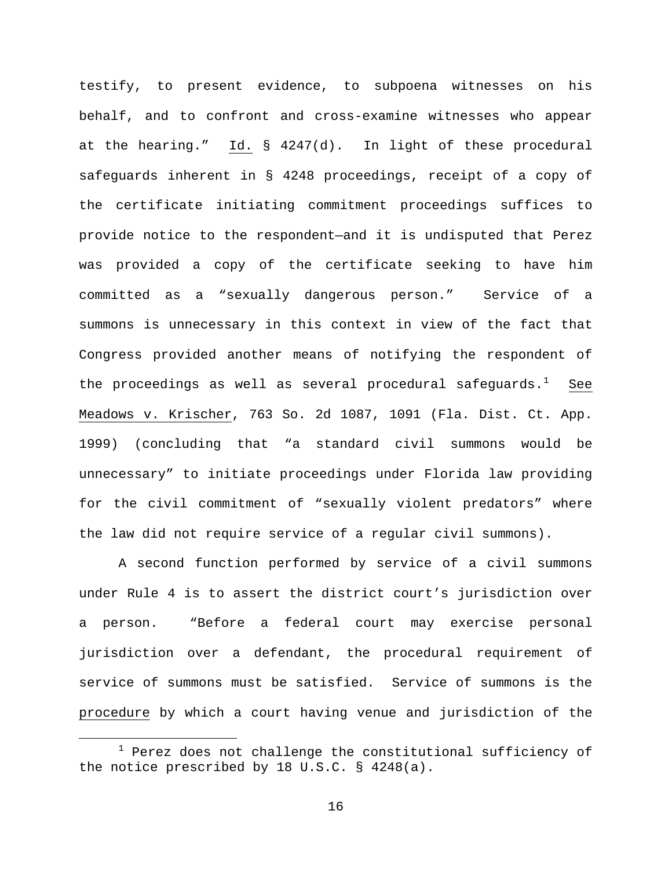testify, to present evidence, to subpoena witnesses on his behalf, and to confront and cross-examine witnesses who appear at the hearing." Id. § 4247(d). In light of these procedural safeguards inherent in § 4248 proceedings, receipt of a copy of the certificate initiating commitment proceedings suffices to provide notice to the respondent—and it is undisputed that Perez was provided a copy of the certificate seeking to have him committed as a "sexually dangerous person." Service of a summons is unnecessary in this context in view of the fact that Congress provided another means of notifying the respondent of the proceedings as well as several procedural safeguards.<sup>[1](#page-15-0)</sup> See Meadows v. Krischer, 763 So. 2d 1087, 1091 (Fla. Dist. Ct. App. 1999) (concluding that "a standard civil summons would be unnecessary" to initiate proceedings under Florida law providing for the civil commitment of "sexually violent predators" where the law did not require service of a regular civil summons).

A second function performed by service of a civil summons under Rule 4 is to assert the district court's jurisdiction over a person. "Before a federal court may exercise personal jurisdiction over a defendant, the procedural requirement of service of summons must be satisfied. Service of summons is the procedure by which a court having venue and jurisdiction of the

<span id="page-15-0"></span> $1$  Perez does not challenge the constitutional sufficiency of the notice prescribed by 18 U.S.C. § 4248(a).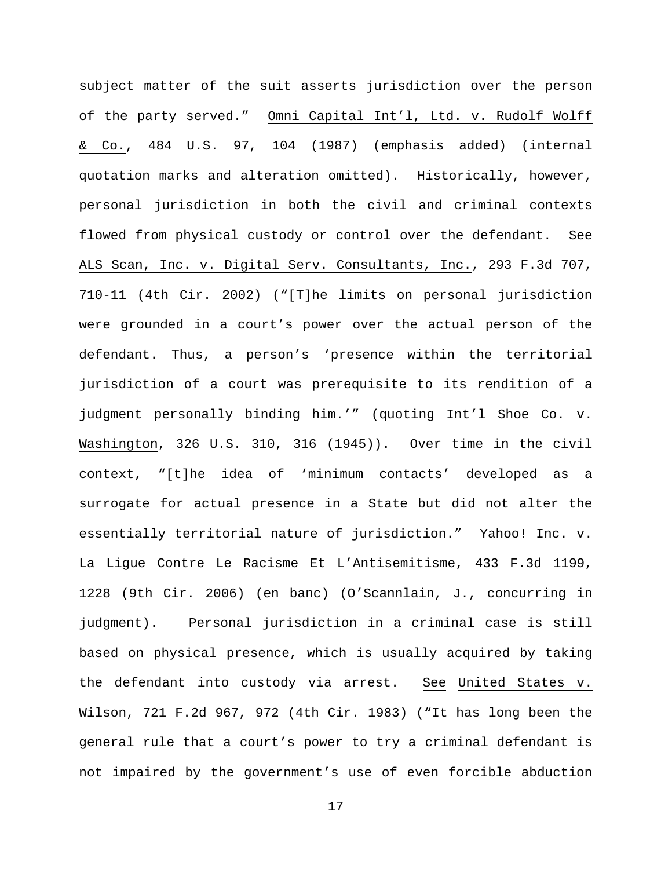subject matter of the suit asserts jurisdiction over the person of the party served." Omni Capital Int'l, Ltd. v. Rudolf Wolff & Co., 484 U.S. 97, 104 (1987) (emphasis added) (internal quotation marks and alteration omitted). Historically, however, personal jurisdiction in both the civil and criminal contexts flowed from physical custody or control over the defendant. See ALS Scan, Inc. v. Digital Serv. Consultants, Inc., 293 F.3d 707, 710-11 (4th Cir. 2002) ("[T]he limits on personal jurisdiction were grounded in a court's power over the actual person of the defendant. Thus, a person's 'presence within the territorial jurisdiction of a court was prerequisite to its rendition of a judgment personally binding him.'" (quoting Int'l Shoe Co. v. Washington, 326 U.S. 310, 316 (1945)). Over time in the civil context, "[t]he idea of 'minimum contacts' developed as a surrogate for actual presence in a State but did not alter the essentially territorial nature of jurisdiction." Yahoo! Inc. v. La Ligue Contre Le Racisme Et L'Antisemitisme, 433 F.3d 1199, 1228 (9th Cir. 2006) (en banc) (O'Scannlain, J., concurring in judgment). Personal jurisdiction in a criminal case is still based on physical presence, which is usually acquired by taking the defendant into custody via arrest. See United States v. Wilson, 721 F.2d 967, 972 (4th Cir. 1983) ("It has long been the general rule that a court's power to try a criminal defendant is not impaired by the government's use of even forcible abduction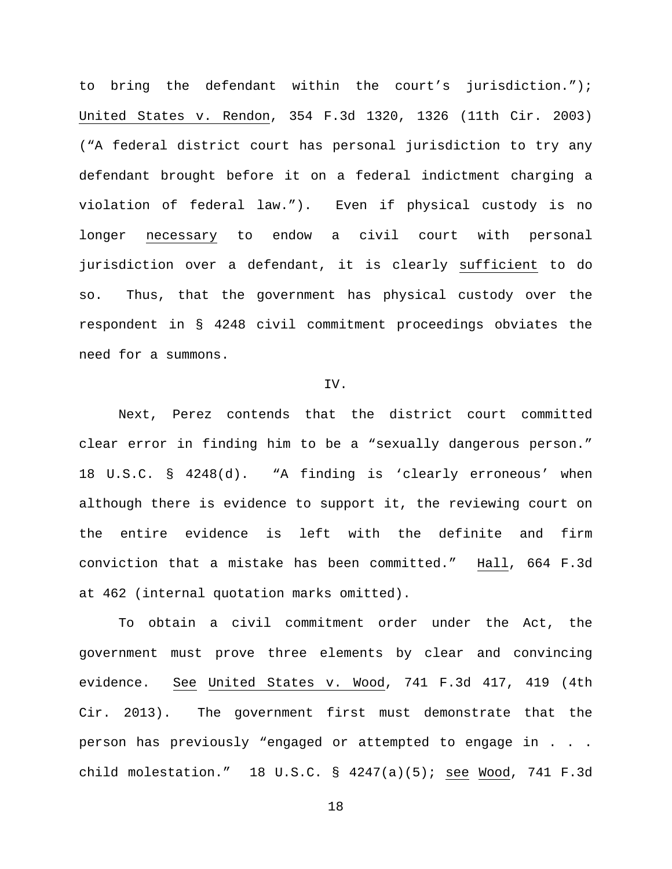to bring the defendant within the court's jurisdiction."); United States v. Rendon, 354 F.3d 1320, 1326 (11th Cir. 2003) ("A federal district court has personal jurisdiction to try any defendant brought before it on a federal indictment charging a violation of federal law."). Even if physical custody is no longer necessary to endow a civil court with personal jurisdiction over a defendant, it is clearly sufficient to do so. Thus, that the government has physical custody over the respondent in § 4248 civil commitment proceedings obviates the need for a summons.

### IV.

Next, Perez contends that the district court committed clear error in finding him to be a "sexually dangerous person." 18 U.S.C. § 4248(d). "A finding is 'clearly erroneous' when although there is evidence to support it, the reviewing court on the entire evidence is left with the definite and firm conviction that a mistake has been committed." Hall, 664 F.3d at 462 (internal quotation marks omitted).

To obtain a civil commitment order under the Act, the government must prove three elements by clear and convincing evidence. See United States v. Wood, 741 F.3d 417, 419 (4th Cir. 2013). The government first must demonstrate that the person has previously "engaged or attempted to engage in . . . child molestation." 18 U.S.C. § 4247(a)(5); see Wood, 741 F.3d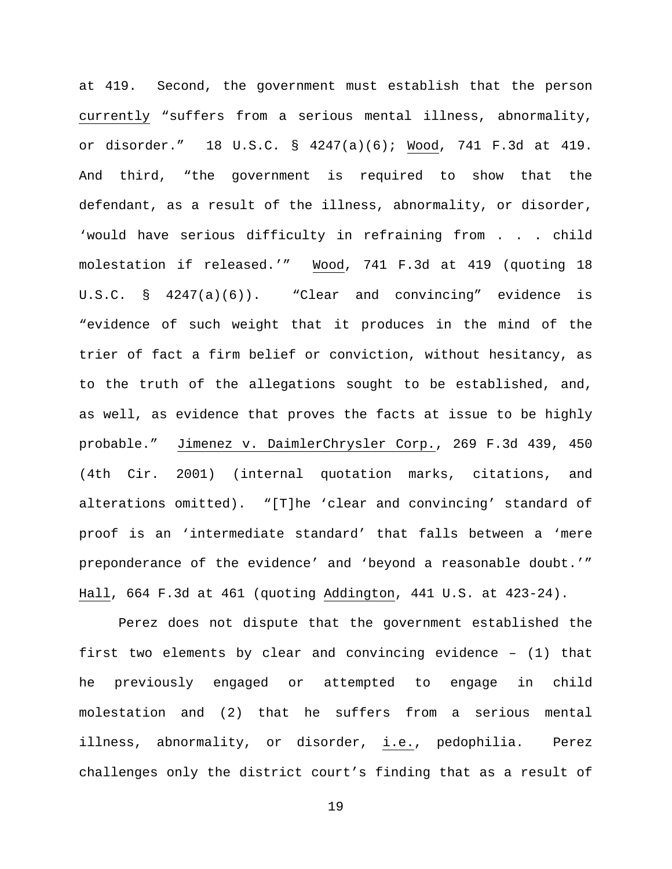at 419. Second, the government must establish that the person currently "suffers from a serious mental illness, abnormality, or disorder." 18 U.S.C. § 4247(a)(6); Wood, 741 F.3d at 419. And third, "the government is required to show that the defendant, as a result of the illness, abnormality, or disorder, 'would have serious difficulty in refraining from . . . child molestation if released.'" Wood, 741 F.3d at 419 (quoting 18 U.S.C. § 4247(a)(6)). "Clear and convincing" evidence is "evidence of such weight that it produces in the mind of the trier of fact a firm belief or conviction, without hesitancy, as to the truth of the allegations sought to be established, and, as well, as evidence that proves the facts at issue to be highly probable." Jimenez v. DaimlerChrysler Corp., 269 F.3d 439, 450 (4th Cir. 2001) (internal quotation marks, citations, and alterations omitted). "[T]he 'clear and convincing' standard of proof is an 'intermediate standard' that falls between a 'mere preponderance of the evidence' and 'beyond a reasonable doubt.'" Hall, 664 F.3d at 461 (quoting Addington, 441 U.S. at 423-24).

Perez does not dispute that the government established the first two elements by clear and convincing evidence – (1) that he previously engaged or attempted to engage in child molestation and (2) that he suffers from a serious mental illness, abnormality, or disorder, i.e., pedophilia. Perez challenges only the district court's finding that as a result of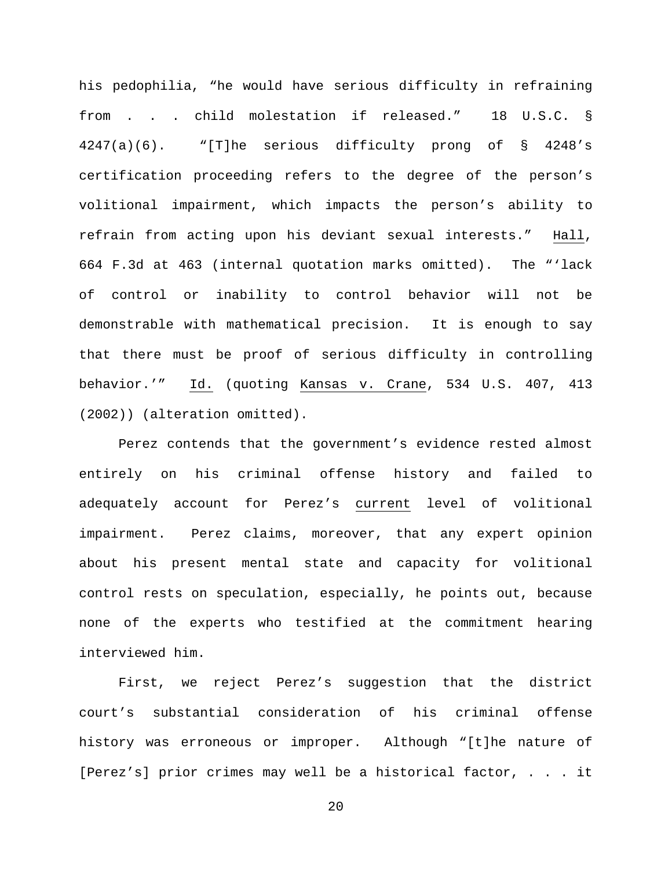his pedophilia, "he would have serious difficulty in refraining from . . . child molestation if released." 18 U.S.C. § 4247(a)(6). "[T]he serious difficulty prong of § 4248's certification proceeding refers to the degree of the person's volitional impairment, which impacts the person's ability to refrain from acting upon his deviant sexual interests." Hall, 664 F.3d at 463 (internal quotation marks omitted). The "'lack of control or inability to control behavior will not be demonstrable with mathematical precision. It is enough to say that there must be proof of serious difficulty in controlling behavior.'" Id. (quoting Kansas v. Crane, 534 U.S. 407, 413 (2002)) (alteration omitted).

Perez contends that the government's evidence rested almost entirely on his criminal offense history and failed to adequately account for Perez's current level of volitional impairment. Perez claims, moreover, that any expert opinion about his present mental state and capacity for volitional control rests on speculation, especially, he points out, because none of the experts who testified at the commitment hearing interviewed him.

First, we reject Perez's suggestion that the district court's substantial consideration of his criminal offense history was erroneous or improper. Although "[t]he nature of [Perez's] prior crimes may well be a historical factor, . . . it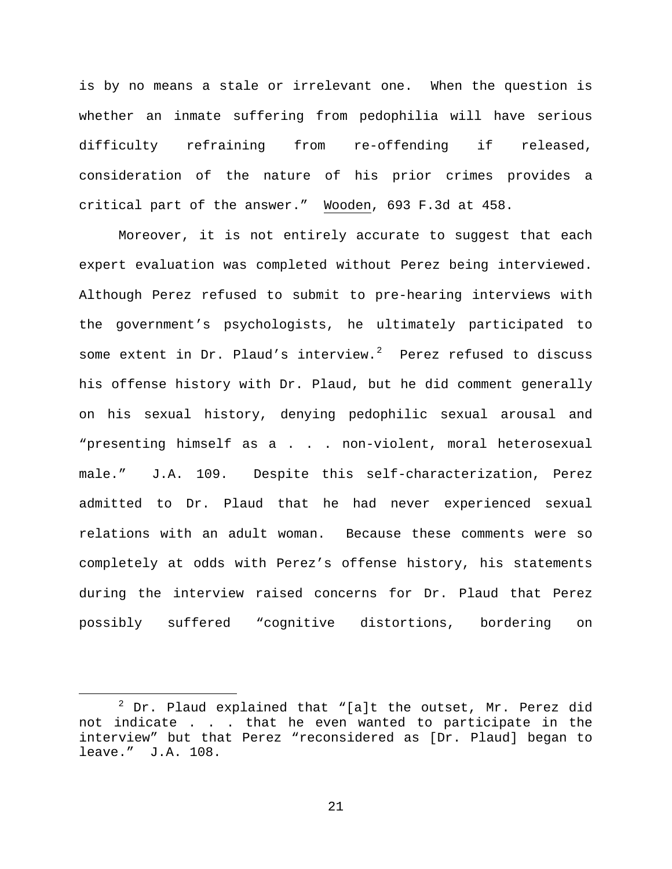is by no means a stale or irrelevant one. When the question is whether an inmate suffering from pedophilia will have serious difficulty refraining from re-offending if released, consideration of the nature of his prior crimes provides a critical part of the answer." Wooden, 693 F.3d at 458.

Moreover, it is not entirely accurate to suggest that each expert evaluation was completed without Perez being interviewed. Although Perez refused to submit to pre-hearing interviews with the government's psychologists, he ultimately participated to some extent in Dr. Plaud's interview. $^2$  $^2$  Perez refused to discuss his offense history with Dr. Plaud, but he did comment generally on his sexual history, denying pedophilic sexual arousal and "presenting himself as a . . . non-violent, moral heterosexual male." J.A. 109. Despite this self-characterization, Perez admitted to Dr. Plaud that he had never experienced sexual relations with an adult woman. Because these comments were so completely at odds with Perez's offense history, his statements during the interview raised concerns for Dr. Plaud that Perez possibly suffered "cognitive distortions, bordering on

<span id="page-20-0"></span> $2$  Dr. Plaud explained that "[a]t the outset, Mr. Perez did not indicate . . . that he even wanted to participate in the interview" but that Perez "reconsidered as [Dr. Plaud] began to leave." J.A. 108.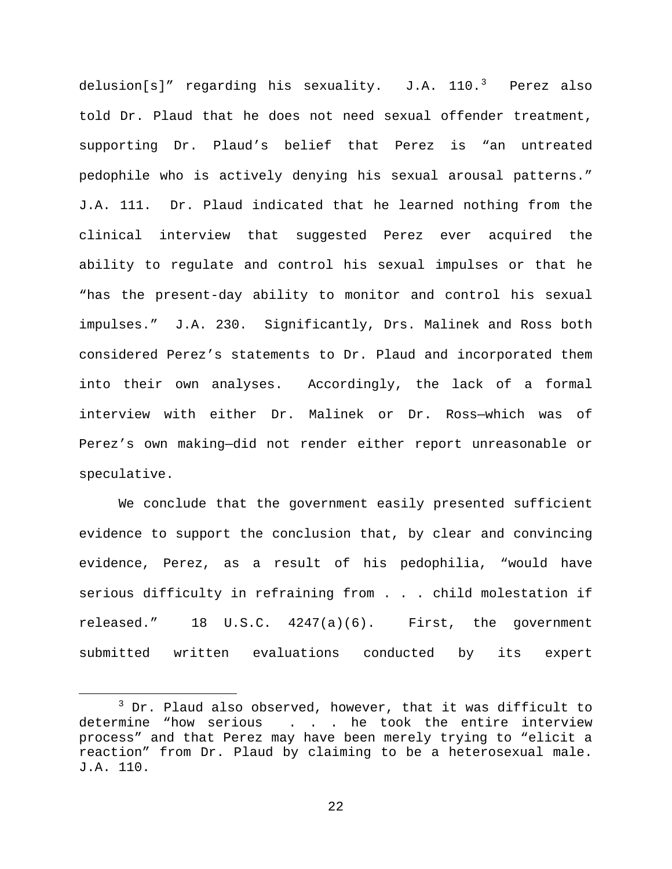delusion[s]" regarding his sexuality.  $J.A.$   $110.^3$  $110.^3$  Perez also told Dr. Plaud that he does not need sexual offender treatment, supporting Dr. Plaud's belief that Perez is "an untreated pedophile who is actively denying his sexual arousal patterns." J.A. 111. Dr. Plaud indicated that he learned nothing from the clinical interview that suggested Perez ever acquired the ability to regulate and control his sexual impulses or that he "has the present-day ability to monitor and control his sexual impulses." J.A. 230. Significantly, Drs. Malinek and Ross both considered Perez's statements to Dr. Plaud and incorporated them into their own analyses. Accordingly, the lack of a formal interview with either Dr. Malinek or Dr. Ross—which was of Perez's own making—did not render either report unreasonable or speculative.

We conclude that the government easily presented sufficient evidence to support the conclusion that, by clear and convincing evidence, Perez, as a result of his pedophilia, "would have serious difficulty in refraining from . . . child molestation if released." 18 U.S.C. 4247(a)(6). First, the government submitted written evaluations conducted by its expert

<span id="page-21-0"></span> $3$  Dr. Plaud also observed, however, that it was difficult to determine "how serious . . . he took the entire interview process" and that Perez may have been merely trying to "elicit a reaction" from Dr. Plaud by claiming to be a heterosexual male. J.A. 110.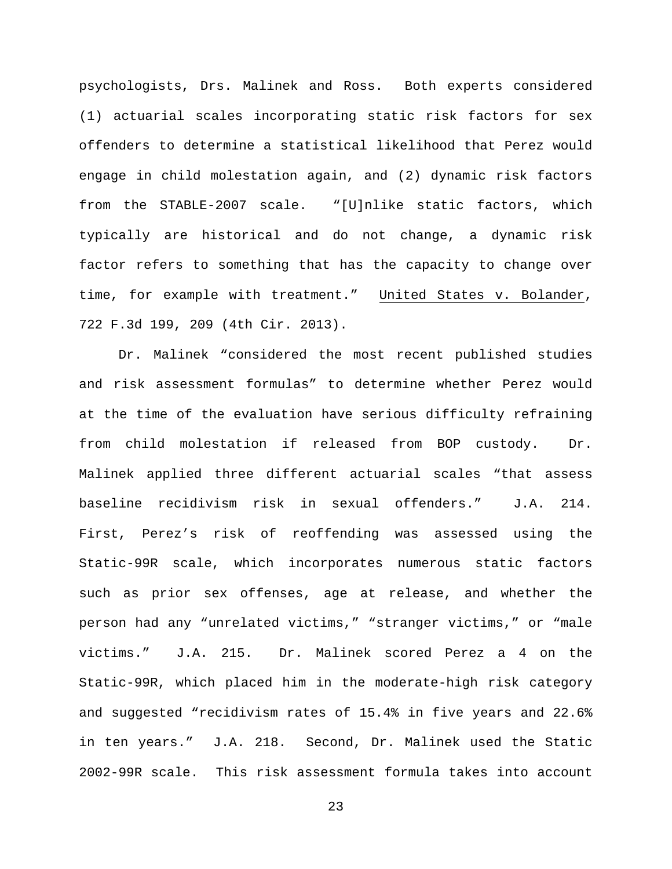psychologists, Drs. Malinek and Ross. Both experts considered (1) actuarial scales incorporating static risk factors for sex offenders to determine a statistical likelihood that Perez would engage in child molestation again, and (2) dynamic risk factors from the STABLE-2007 scale. "[U]nlike static factors, which typically are historical and do not change, a dynamic risk factor refers to something that has the capacity to change over time, for example with treatment." United States v. Bolander, 722 F.3d 199, 209 (4th Cir. 2013).

Dr. Malinek "considered the most recent published studies and risk assessment formulas" to determine whether Perez would at the time of the evaluation have serious difficulty refraining from child molestation if released from BOP custody. Dr. Malinek applied three different actuarial scales "that assess baseline recidivism risk in sexual offenders." J.A. 214. First, Perez's risk of reoffending was assessed using the Static-99R scale, which incorporates numerous static factors such as prior sex offenses, age at release, and whether the person had any "unrelated victims," "stranger victims," or "male victims." J.A. 215. Dr. Malinek scored Perez a 4 on the Static-99R, which placed him in the moderate-high risk category and suggested "recidivism rates of 15.4% in five years and 22.6% in ten years." J.A. 218. Second, Dr. Malinek used the Static 2002-99R scale. This risk assessment formula takes into account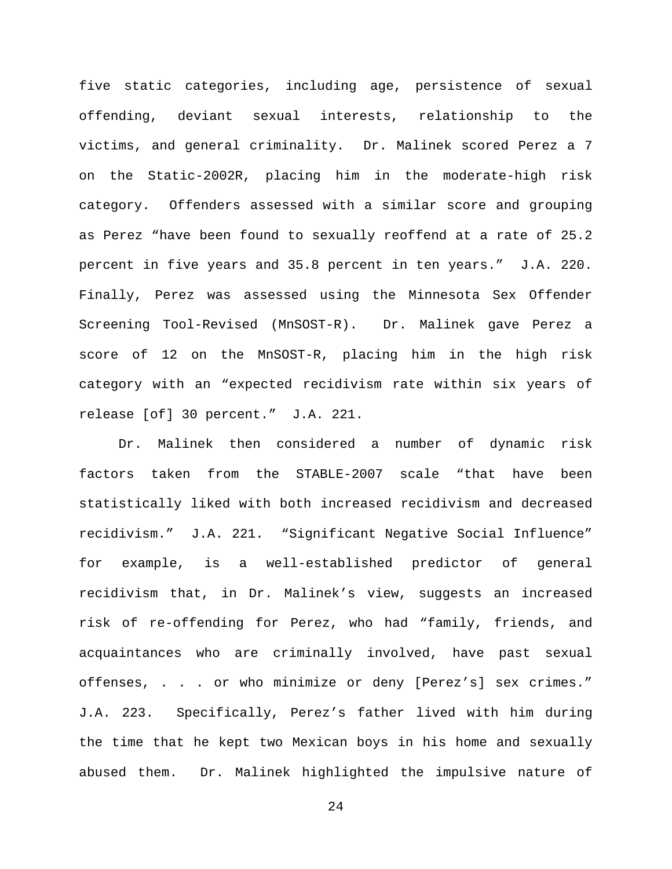five static categories, including age, persistence of sexual offending, deviant sexual interests, relationship to the victims, and general criminality. Dr. Malinek scored Perez a 7 on the Static-2002R, placing him in the moderate-high risk category. Offenders assessed with a similar score and grouping as Perez "have been found to sexually reoffend at a rate of 25.2 percent in five years and 35.8 percent in ten years." J.A. 220. Finally, Perez was assessed using the Minnesota Sex Offender Screening Tool-Revised (MnSOST-R). Dr. Malinek gave Perez a score of 12 on the MnSOST-R, placing him in the high risk category with an "expected recidivism rate within six years of release [of] 30 percent." J.A. 221.

Dr. Malinek then considered a number of dynamic risk factors taken from the STABLE-2007 scale "that have been statistically liked with both increased recidivism and decreased recidivism." J.A. 221. "Significant Negative Social Influence" for example, is a well-established predictor of general recidivism that, in Dr. Malinek's view, suggests an increased risk of re-offending for Perez, who had "family, friends, and acquaintances who are criminally involved, have past sexual offenses, . . . or who minimize or deny [Perez's] sex crimes." J.A. 223. Specifically, Perez's father lived with him during the time that he kept two Mexican boys in his home and sexually abused them. Dr. Malinek highlighted the impulsive nature of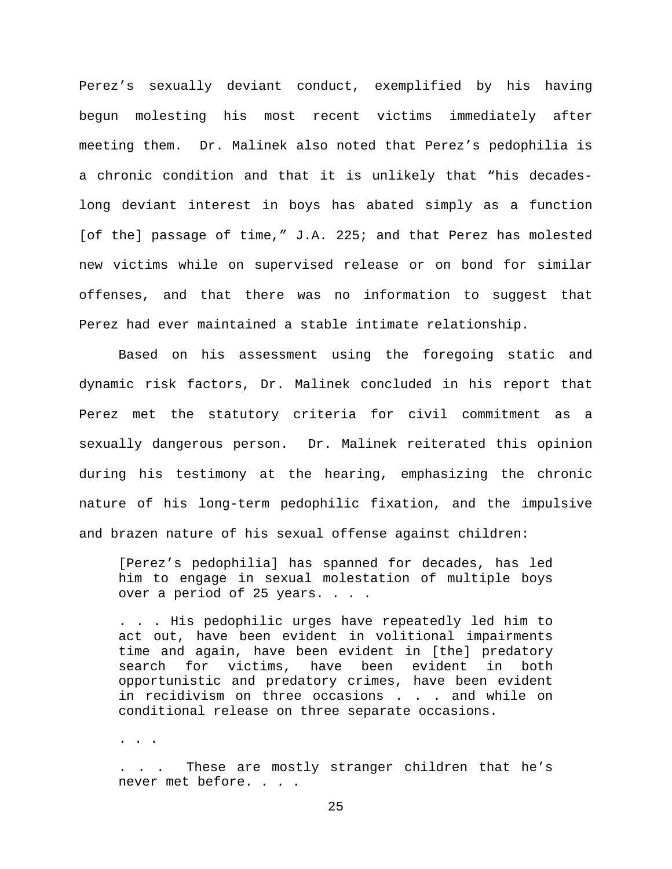Perez's sexually deviant conduct, exemplified by his having begun molesting his most recent victims immediately after meeting them. Dr. Malinek also noted that Perez's pedophilia is a chronic condition and that it is unlikely that "his decadeslong deviant interest in boys has abated simply as a function [of the] passage of time," J.A. 225; and that Perez has molested new victims while on supervised release or on bond for similar offenses, and that there was no information to suggest that Perez had ever maintained a stable intimate relationship.

Based on his assessment using the foregoing static and dynamic risk factors, Dr. Malinek concluded in his report that Perez met the statutory criteria for civil commitment as a sexually dangerous person. Dr. Malinek reiterated this opinion during his testimony at the hearing, emphasizing the chronic nature of his long-term pedophilic fixation, and the impulsive and brazen nature of his sexual offense against children:

[Perez's pedophilia] has spanned for decades, has led him to engage in sexual molestation of multiple boys over a period of 25 years. . . .

. . . His pedophilic urges have repeatedly led him to act out, have been evident in volitional impairments time and again, have been evident in [the] predatory search for victims, have been evident in both opportunistic and predatory crimes, have been evident in recidivism on three occasions . . . and while on conditional release on three separate occasions.

. . .

. . . These are mostly stranger children that he's never met before. . . .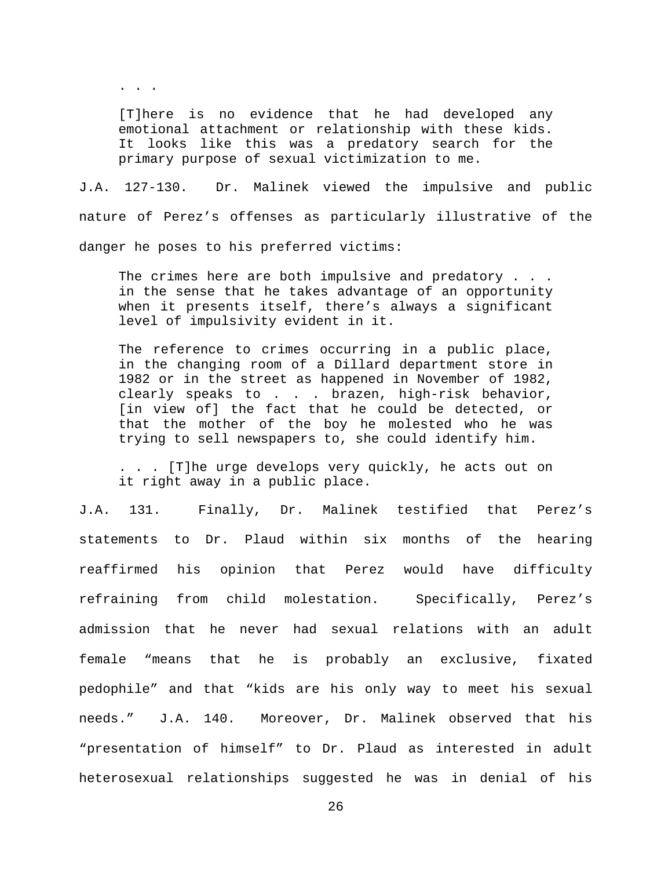[T]here is no evidence that he had developed any emotional attachment or relationship with these kids. It looks like this was a predatory search for the primary purpose of sexual victimization to me.

. . .

J.A. 127-130. Dr. Malinek viewed the impulsive and public nature of Perez's offenses as particularly illustrative of the danger he poses to his preferred victims:

The crimes here are both impulsive and predatory . . . in the sense that he takes advantage of an opportunity when it presents itself, there's always a significant level of impulsivity evident in it.

The reference to crimes occurring in a public place, in the changing room of a Dillard department store in 1982 or in the street as happened in November of 1982, clearly speaks to . . . brazen, high-risk behavior, [in view of] the fact that he could be detected, or that the mother of the boy he molested who he was trying to sell newspapers to, she could identify him.

. . . [T]he urge develops very quickly, he acts out on it right away in a public place.

J.A. 131. Finally, Dr. Malinek testified that Perez's statements to Dr. Plaud within six months of the hearing reaffirmed his opinion that Perez would have difficulty refraining from child molestation. Specifically, Perez's admission that he never had sexual relations with an adult female "means that he is probably an exclusive, fixated pedophile" and that "kids are his only way to meet his sexual needs." J.A. 140. Moreover, Dr. Malinek observed that his "presentation of himself" to Dr. Plaud as interested in adult heterosexual relationships suggested he was in denial of his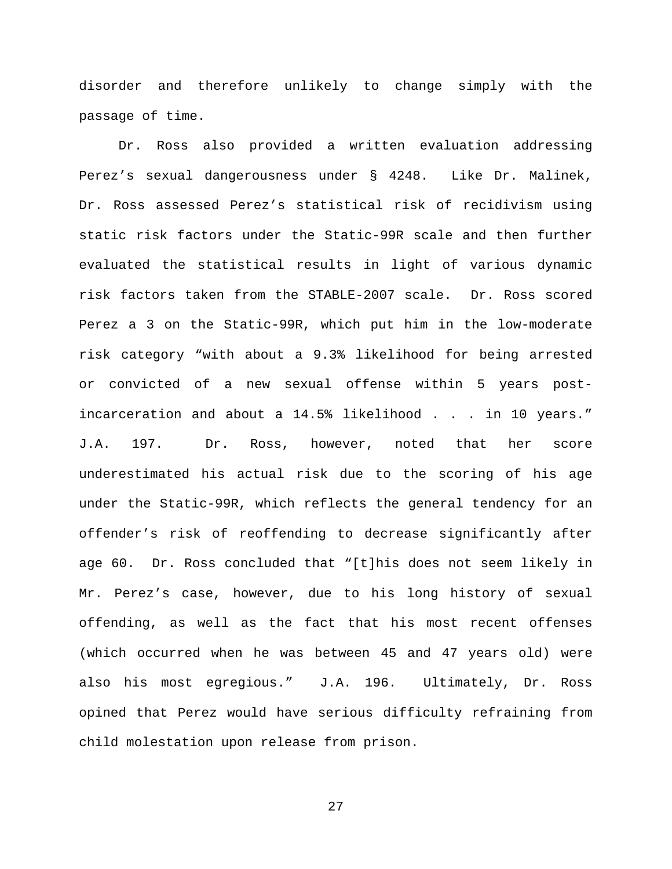disorder and therefore unlikely to change simply with the passage of time.

Dr. Ross also provided a written evaluation addressing Perez's sexual dangerousness under § 4248. Like Dr. Malinek, Dr. Ross assessed Perez's statistical risk of recidivism using static risk factors under the Static-99R scale and then further evaluated the statistical results in light of various dynamic risk factors taken from the STABLE-2007 scale. Dr. Ross scored Perez a 3 on the Static-99R, which put him in the low-moderate risk category "with about a 9.3% likelihood for being arrested or convicted of a new sexual offense within 5 years postincarceration and about a 14.5% likelihood . . . in 10 years." J.A. 197. Dr. Ross, however, noted that her score underestimated his actual risk due to the scoring of his age under the Static-99R, which reflects the general tendency for an offender's risk of reoffending to decrease significantly after age 60. Dr. Ross concluded that "[t]his does not seem likely in Mr. Perez's case, however, due to his long history of sexual offending, as well as the fact that his most recent offenses (which occurred when he was between 45 and 47 years old) were also his most egregious." J.A. 196. Ultimately, Dr. Ross opined that Perez would have serious difficulty refraining from child molestation upon release from prison.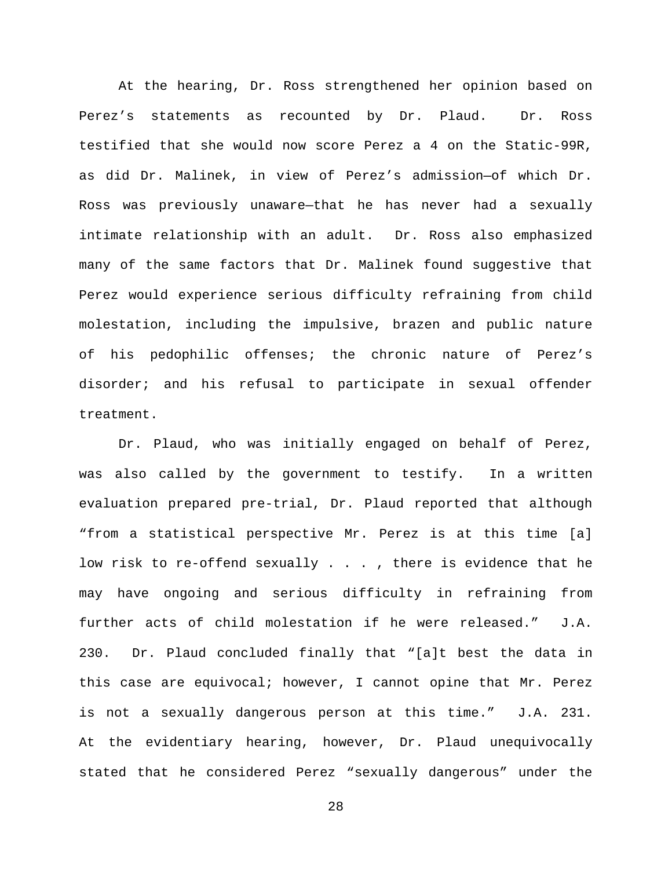At the hearing, Dr. Ross strengthened her opinion based on Perez's statements as recounted by Dr. Plaud. Dr. Ross testified that she would now score Perez a 4 on the Static-99R, as did Dr. Malinek, in view of Perez's admission—of which Dr. Ross was previously unaware—that he has never had a sexually intimate relationship with an adult. Dr. Ross also emphasized many of the same factors that Dr. Malinek found suggestive that Perez would experience serious difficulty refraining from child molestation, including the impulsive, brazen and public nature of his pedophilic offenses; the chronic nature of Perez's disorder; and his refusal to participate in sexual offender treatment.

Dr. Plaud, who was initially engaged on behalf of Perez, was also called by the government to testify. In a written evaluation prepared pre-trial, Dr. Plaud reported that although "from a statistical perspective Mr. Perez is at this time [a] low risk to re-offend sexually . . . , there is evidence that he may have ongoing and serious difficulty in refraining from further acts of child molestation if he were released." J.A. 230. Dr. Plaud concluded finally that "[a]t best the data in this case are equivocal; however, I cannot opine that Mr. Perez is not a sexually dangerous person at this time." J.A. 231. At the evidentiary hearing, however, Dr. Plaud unequivocally stated that he considered Perez "sexually dangerous" under the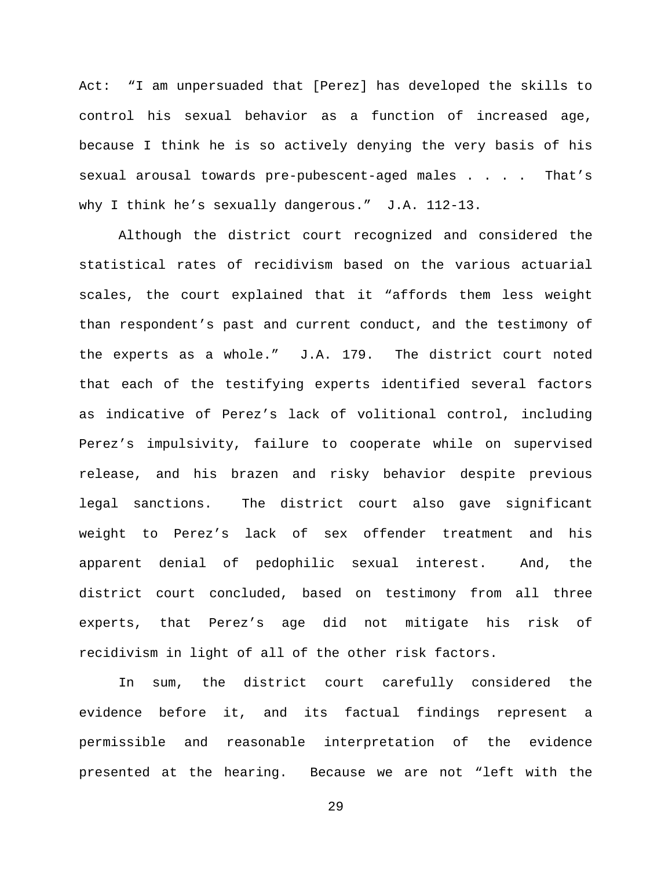Act: "I am unpersuaded that [Perez] has developed the skills to control his sexual behavior as a function of increased age, because I think he is so actively denying the very basis of his sexual arousal towards pre-pubescent-aged males . . . . That's why I think he's sexually dangerous." J.A. 112-13.

Although the district court recognized and considered the statistical rates of recidivism based on the various actuarial scales, the court explained that it "affords them less weight than respondent's past and current conduct, and the testimony of the experts as a whole." J.A. 179. The district court noted that each of the testifying experts identified several factors as indicative of Perez's lack of volitional control, including Perez's impulsivity, failure to cooperate while on supervised release, and his brazen and risky behavior despite previous legal sanctions. The district court also gave significant weight to Perez's lack of sex offender treatment and his apparent denial of pedophilic sexual interest. And, the district court concluded, based on testimony from all three experts, that Perez's age did not mitigate his risk of recidivism in light of all of the other risk factors.

In sum, the district court carefully considered the evidence before it, and its factual findings represent a permissible and reasonable interpretation of the evidence presented at the hearing. Because we are not "left with the